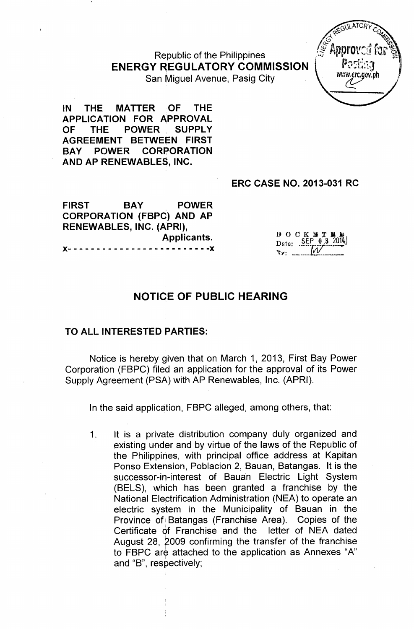# Republic of the Philippines **ENERGY REGULATORY COMMISSION**



San Miguel Avenue, Pasig City

IN THE MATTER OF THE APPLICATION FOR APPROVAL OF THE POWER SUPPLY AGREEMENT BETWEEN FIRST BAY POWER CORPORATION AND AP RENEWABLES, INC.

#### ERC CASE NO. 2013-031 RC

FIRST BAY POWER CORPORATION (FBPC) AND AP RENEWABLES, INC. (APRI), Applicants. )(- - - - - - - - - - - - - - - - - - - - - - - - -)(

 $0 0 CK H T$ Date: SEP 03

# NOTICE OF PUBLIC HEARING

#### TO ALL INTERESTED PARTIES:

Notice is hereby given that on March 1, 2013, First Bay Power Corporation (FBPC) filed an application for the approval of its Power Supply Agreement (PSA) with AP Renewables, Inc. (APRI).

In the said application, FBPC alleged, among others, that:

1. It is a private distribution company duly organized and existing under and by virtue of the laws of the Republic of the Philippines, with principal office address at Kapitan Ponso Extension, Poblacion 2, Bauan, Batangas. It is the successor-in-interest of Bauan Electric Light System (BELS), which has been granted a franchise by the National EleGtrification Administration (NEA) to operate an electric system in the Municipality of Bauan in the Province of Batangas (Franchise Area). Copies of the Certificate of Franchise and the letter of NEA dated August 28, 2009 confirming the transfer of the franchise to FBPC are attached to the application as Annexes "A" and "B", respectively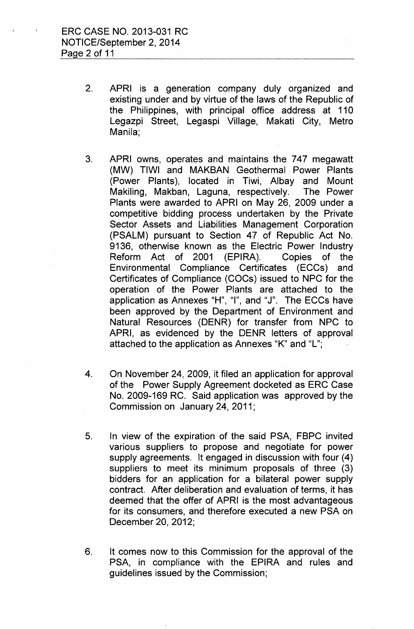- 2. APRI is a generation company duly organized and existing under and by virtue of the laws of the Republic of the Philippines, with principal office address at 110 Legazpi Street, Legaspi Village, Makati City, Metro Manila;
- 3. APRI owns, operates and maintains the 747 megawatt (MW) TIWI and MAKBAN Geothermal Power Plants (Power Plants), located in Tiwi, Albay and Mount Makiling, Makban, laguna, respectively. The Power Plants were awarded to APRI on May 26, 2009 under a competitive bidding process undertaken by the Private Sector Assets and Liabilities Management Corporation (PSALM) pursuant to Section 47 of Republic Act No. 9136, otherwise known as the Electric Power Industry Reform Act of 2001 (EPIRA). Copies of the Environmental Compliance Certificates (ECCs) and Certificates of Compliance (COCs) issued to NPC for the operation of the Power Plants are attached to the application as Annexes "H", "I", and "J". The ECCs have been approved by the Department of Environment and Natural Resources (DENR) for transfer from NPC to APRI, as evidenced by the DENR letters of approval attached to the application as Annexes "K" and "L";
- 4. On November 24, 2009, it filed an application for approval of the Power Supply Agreement docketed as ERC Case No. 2009-169 RC. Said application was approved by the Commission on January 24, 2011;
- 5. In view of the expiration of the said PSA, FBPC invited various suppliers to propose and negotiate for power supply agreements. It engaged in discussion with four (4) suppliers to meet its minimum proposals of three (3) bidders for an application for a bilateral power supply contract. After deliberation and evaluation of terms, it has deemed that the offer of APRI is the most advantageous for its consumers, and therefore executed a new PSA on December 20,2012;
- 6. It comes now to this Commission for the approval of the PSA, in compliance with the EPIRA and rules and guidelines issued by the Commission;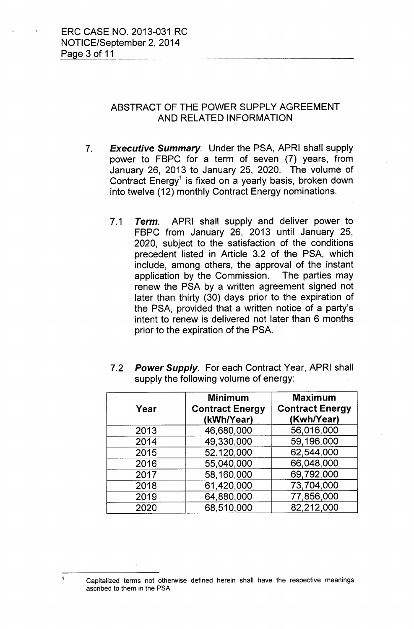### ABSTRACT OF THE POWER SUPPLY AGREEMENT AND RELATED INFORMATION

*7. Executive Summary.* Under the PSA, APRI shall supply power to FBPC for a term of seven (7) years, from January 26, 2013 to January 25, 2020. The volume of Contract Energy $^{\rm 1}$  is fixed on a yearly basis, broken down into twelve (12) monthly Contract Energy nominations.

*7.1 Term.* APRI shall supply and deliver power to FBPC from January 26, 2013 until January 25, 2020, subject to the satisfaction of the conditions precedent listed in Article 3.2 of the PSA, which include, among others, the approval of the instant application by the Commission. The parties may renew the PSA by a written agreement signed not later than thirty (30) days prior to the expiration of the PSA, provided that a written notice of a party's intent to renew is delivered not later than 6 months prior to the expiration of the PSA.

| Year | <b>Minimum</b><br><b>Contract Energy</b><br>(kWh/Year) | <b>Maximum</b><br><b>Contract Energy</b><br>(Kwh/Year) |
|------|--------------------------------------------------------|--------------------------------------------------------|
| 2013 | 46,680,000                                             | 56,016,000                                             |
| 2014 | 49,330,000                                             | 59,196,000                                             |
| 2015 | 52.120,000                                             | 62,544,000                                             |
| 2016 | 55,040,000                                             | 66,048,000                                             |
| 2017 | 58,160,000                                             | 69,792,000                                             |
| 2018 | 61,420,000                                             | 73,704,000                                             |
| 2019 | 64,880,000                                             | 77,856,000                                             |
| 2020 | 68,510,000                                             | 82,212,000                                             |

*7.2 Power Supply.* For each Contract Year, APRI shall supply the following volume of energy:

Capitalized terms not otherwise defined herein shall have the respective meanings ascribed to them in the PSA.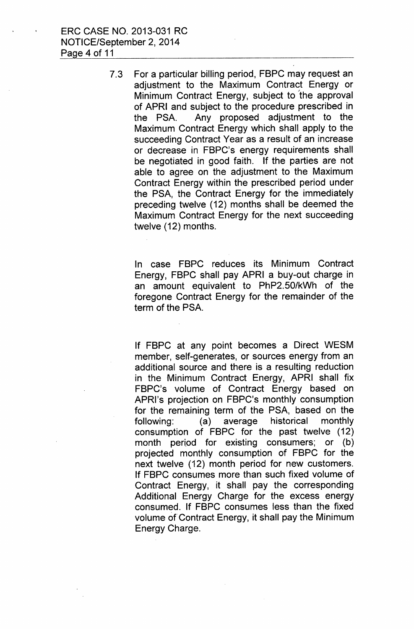ERC CASE NO. 2013-031 RC NOTICE/September 2, 2014 Page 4 of 11

> 7.3 For a particular billing period, FBPC may request an adjustment to the Maximum Contract Energy or Minimum Contract Energy, subject to 'the approval of APRI and subject to the procedure prescribed in the PSA. Any proposed adjustment to the Maximum Contract Energy which shall apply to the succeeding Contract Year as a result of an increase or decrease in FBPC's energy requirements shall be negotiated in good faith. If the parties are not able to agree on the adjustment to the Maximum Contract Energy within the prescribed period under the PSA, the Contract Energy for the immediately preceding twelve (12) months shall be deemed the Maximum Contract Energy for the next succeeding twelve (12) months.

> > In case FBPC reduces its Minimum Contract Energy, FBPC shall pay APRI a buy-out charge in an amount equivalent to PhP2.50/kWh of the foregone Contract Energy for the remainder of the term of the PSA.

> > If FBPC at any point becomes a Direct WESM member, self-generates, or sources energy from an additional source and there is a resulting reduction in the Minimum Contract Energy, APRI shall fix FBPC's volume of Contract Energy based on APRI's projection on FBPC's monthly consumption for the remaining term of the PSA, based on the following: (a) average historical monthly consumption of FBPC for the past twelve (12) month period for existing consumers; or (b) projected monthly consumption of FBPC for the next twelve (12) month period for new customers. If FBPC consumes more than such fixed volume of Contract Energy, it shall pay the corresponding Additional Energy Charge for the excess energy consumed. If FBPC consumes less than the fixed volume of Contract Energy, it shall pay the Minimum Energy Charge.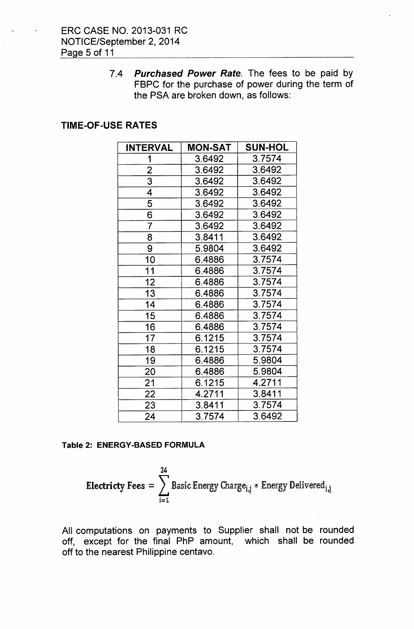*7.4 Purchased Power Rate.* The fees to be paid by FBPC for the purchase of power during the term of the PSA are broken down, as follows:

#### TIME-OF-USE RATES

| <b>INTERVAL</b> | <b>MON-SAT</b> | <b>SUN-HOL</b> |
|-----------------|----------------|----------------|
| 1               | 3.6492         | 3.7574         |
| $\overline{2}$  | 3.6492         | 3.6492         |
| $\overline{3}$  | 3.6492         | 3.6492         |
| 4               | 3.6492         | 3.6492         |
| $\overline{5}$  | 3.6492         | 3.6492         |
| $\overline{6}$  | 3.6492         | 3.6492         |
| 7               | 3.6492         | 3.6492         |
| 8               | 3.8411         | 3.6492         |
| 9               | 5.9804         | 3.6492         |
| 10              | 6.4886         | 3.7574         |
| 11              | 6.4886         | 3.7574         |
| 12              | 6.4886         | 3.7574         |
| 13              | 6.4886         | 3.7574         |
| 14              | 6.4886         | 3.7574         |
| 15              | 6.4886         | 3.7574         |
| 16              | 6.4886         | 3.7574         |
| 17              | 6.1215         | 3.7574         |
| 18              | 6.1215         | 3.7574         |
| 19              | 6.4886         | 5.9804         |
| 20              | 6.4886         | 5.9804         |
| 21              | 6.1215         | 4.2711         |
| 22              | 4.2711         | 3.8411         |
| 23              | 3.8411         | 3.7574         |
| 24              | 3.7574         | 3.6492         |

#### Table 2: ENERGY-BASED FORMULA

**Electricty** 
$$
Fees = \sum_{i=1}^{24} Basic Energy Charge_{i,j} * Energy Deleting_{i,j}
$$

All computations on payments to Supplier shall not be rounded off, except for the final PhP amount, which shall be rounded off to the nearest Philippine centavo.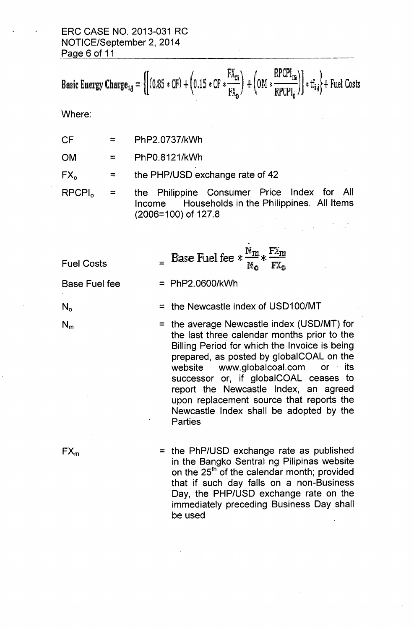# ERC CASE NO. 2013-031 RC NOTICE/September 2, 2014 Page 6 of 11

Basic Energy Charge<sub>i,j</sub> = 
$$
\{ (0.85 * CF) + (0.15 * CF * \frac{FX_m}{FX_0}) + (0.1 * CF * \frac{RPCPI_m}{RPCPI_0}) \} * tf_{i,j} \} +
$$

Where:

| PhP2.0737/kWh<br><b>CF</b> |
|----------------------------|
|----------------------------|

 $OM =$ PhPO.8121/kWh

 $FX_0$  = the PHP/USD exchange rate of 42

 $RPCPI_0 =$ 

the Philippine Consumer Price Index for All Income **Households in the Philippines.** All Items (2006=100) of 127.8

 $\label{eq:2.1} \frac{1}{\sqrt{2\pi}}\frac{1}{\sqrt{2\pi}}\frac{1}{\sqrt{2\pi}}\frac{1}{\sqrt{2\pi}}\frac{1}{\sqrt{2\pi}}\frac{1}{\sqrt{2\pi}}\frac{1}{\sqrt{2\pi}}\frac{1}{\sqrt{2\pi}}\frac{1}{\sqrt{2\pi}}\frac{1}{\sqrt{2\pi}}\frac{1}{\sqrt{2\pi}}\frac{1}{\sqrt{2\pi}}\frac{1}{\sqrt{2\pi}}\frac{1}{\sqrt{2\pi}}\frac{1}{\sqrt{2\pi}}\frac{1}{\sqrt{2\pi}}\frac{1}{\sqrt{2\pi}}\frac{1}{\sqrt$ 

| <b>Fuel Costs</b><br><b>Base Fuel fee</b> | $\frac{\text{N}_{\text{m}}}{\text{N}_{\text{m}}}$<br><b>Base Fuel fee <math>*</math> <math>\frac{1}{4}</math></b><br>$=$ PhP2.0600/kWh                                                                                                                                                                                                                                                                          |
|-------------------------------------------|-----------------------------------------------------------------------------------------------------------------------------------------------------------------------------------------------------------------------------------------------------------------------------------------------------------------------------------------------------------------------------------------------------------------|
| $\mathsf{N}_{\mathsf{o}}$                 | = the Newcastle index of USD100/MT                                                                                                                                                                                                                                                                                                                                                                              |
| $N_m$                                     | = the average Newcastle index (USD/MT) for<br>the last three calendar months prior to the<br>Billing Period for which the Invoice is being<br>prepared, as posted by globalCOAL on the<br>website www.globalcoal.com or its<br>successor or, if globalCOAL ceases to<br>report the Newcastle Index, an agreed<br>upon replacement source that reports the<br>Newcastle Index shall be adopted by the<br>Parties |
| $FX_m$                                    | = the PhP/USD exchange rate as published<br>in the Bangko Sentral ng Pilipinas website<br>on the 25 <sup>th</sup> of the calendar month; provided<br>that if such day falls on a non-Business<br>Day, the PHP/USD exchange rate on the<br>immediately preceding Business Day shall<br>be used                                                                                                                   |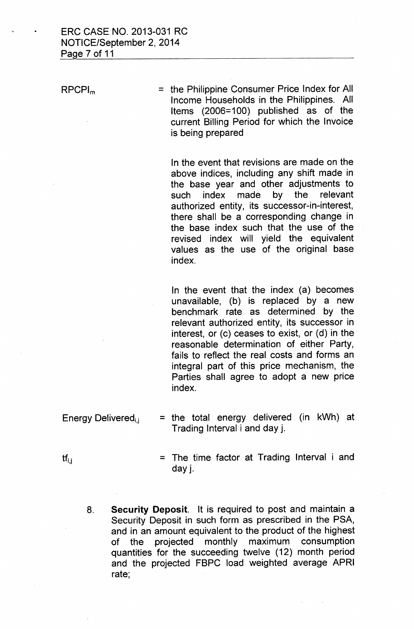RPCPl<sup>m</sup>

= the Philippine Consumer Price Index for All Income Households in the Philippines. All Items (2006=100) published as of the current Billing Period for which the Invoice is being prepared

In the event that revisions are made on the above indices, including any shift made in the base year and other adjustments to such index made by the relevant authorized entity, its successor-in-interest, there shall be a corresponding change in the base index such that the use of the revised index will yield the equivalent values as the use of the original base index.

In the event that the index (a) becomes unavailable, (b) is replaced by a new benchmark rate as determined by the relevant authorized entity, its successor in interest, or (c) ceases to exist, or (d) in the reasonable determination of either Party, fails to reflect the real costs and forms an integral part of this price mechanism, the Parties shall agree to adopt a new price index.

- Energy Delivered<sub>i.j</sub> = the total energy delivered (in kWh) at Trading Interval i and day j.
	- = The time factor at Trading Interval i and day j.
	- 8. **Security Deposit.** It is required to post and maintain a Security Deposit in such form as prescribed in the PSA, and in an amount equivalent to the product of the highest of the projected monthly maximum consumption quantities for the succeeding twelve (12) month period and the projected FBPC load weighted average APRI rate;

 $\mathsf{tf}_{i,i}$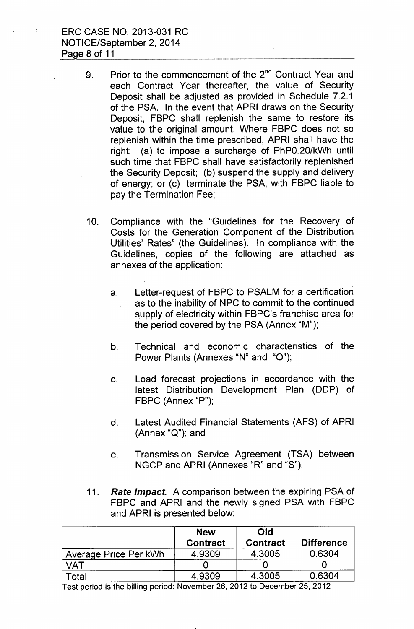ERC CASE NO. 2013-031 RC NOTICE/September 2, 2014 Page 8 of 11

 $\mathbb{Z}^n$ 

- 9. Prior to the commencement of the 2<sup>nd</sup> Contract Year and each Contract Year thereafter, the value of Security Deposit shall be adjusted as provided in Schedule 7.2.1 of the PSA. In the event that APRI draws on the Security Deposit, FBPC shall replenish the same to restore its value to the original amount. Where FBPC does not so replenish within the time prescribed, APRI shall have the right: (a) to impose a surcharge of PhPO.20/kWh until such time that FBPC shall have satisfactorily replenished the Security Deposit; (b) suspend the supply and delivery of energy; or (c) terminate the PSA, with FBPC liable to pay the Termination Fee;
- 10. Compliance with the "Guidelines for the Recovery of Costs for the Generation Component of the Distribution Utilities' Rates" (the Guidelines). In compliance with the Guidelines, copies of the following are attached as annexes of the application:
	- a. Letter-request of FBPC to PSALM for a certification as to the inability of NPC to commit to the continued supply of electricity within FBPC's franchise area for the period covered by the PSA (Annex "M");
	- b. Technical and economic characteristics of the Power Plants (Annexes "N" and "O");
	- c. Load forecast projections in accordance with the latest Distribution Development Plan (DDP) of FBPC (Annex "P");
	- d. Latest Audited Financial Statements (AFS) of APRI (Annex "Q"); and
	- e. Transmission Service Agreement (TSA) between NGCP and APRI (Annexes "R" and "S").
- *11. Rate Impact.* A comparison between the expiring PSA of FBPC and APRI and the newly signed PSA with FBPC and APRI is presented below:

|                       | <b>New</b><br><b>Contract</b> | <b>Old</b><br><b>Contract</b> | <b>Difference</b> |
|-----------------------|-------------------------------|-------------------------------|-------------------|
| Average Price Per kWh | 4.9309                        | 4.3005                        | 0.6304            |
| /AT                   |                               |                               |                   |
| <sup>-</sup> otal     | 4.9309                        | 4.3005                        | 0.6304            |

Test period is the billing period: November 26,2012 to December 25,2012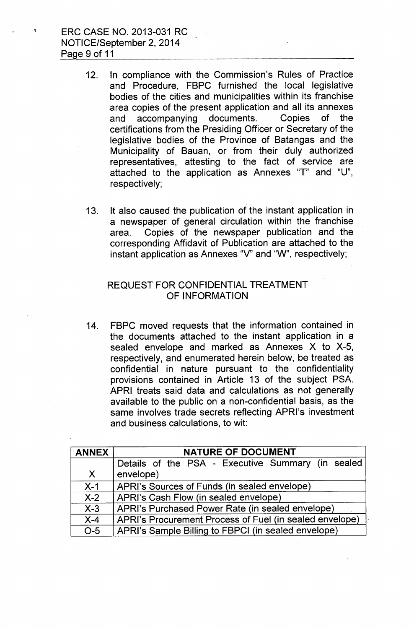ERC CASE NO. 2013-031 RC NOTICE/September 2, 2014 Page 9 of 11

- 12. In compliance with the Commission's Rules of Practice and Procedure, FBPC furnished the local legislative bodies of the cities and municipalities within its franchise area copies of the present application and all its annexes and accompanying documents. Copies of the certifications from the Presiding Officer or Secretary of the legislative bodies of the Province of Batangas and the Municipality of Bauan, or from their duly authorized representatives, attesting to the fact of service are attached to the application as Annexes "T" and "U", respectively;
- 13. It also caused the publication of the instant application in a newspaper of general circulation within the franchise area. Copies of the newspaper publication and the corresponding Affidavit of Publication are attached to the instant application as Annexes "V" and "W", respectively;

#### REQUEST FOR CONFIDENTIAL TREATMENT OF INFORMATION

14. FBPC moved requests that the information contained in the documents attached to the instant application in a sealed envelope and marked as Annexes X to X-5, respectively, and enumerated herein below, be treated as confidential in nature pursuant to the confidentiality provisions contained in Article 13 of the subject PSA. APRI treats said data and calculations as not generally available to the public on a non-confidential basis, as the same involves trade secrets reflecting APRI's investment and business calculations, to wit:

| <b>ANNEX</b>     | <b>NATURE OF DOCUMENT</b>                                      |  |  |  |
|------------------|----------------------------------------------------------------|--|--|--|
| $\mathsf{X}$     | Details of the PSA - Executive Summary (in sealed<br>envelope) |  |  |  |
| $X-1$            | APRI's Sources of Funds (in sealed envelope)                   |  |  |  |
| $X-2$            | APRI's Cash Flow (in sealed envelope)                          |  |  |  |
| $X-3$            | APRI's Purchased Power Rate (in sealed envelope)               |  |  |  |
| $X-4$            | APRI's Procurement Process of Fuel (in sealed envelope)        |  |  |  |
| $\overline{O-5}$ | APRI's Sample Billing to FBPCI (in sealed envelope)            |  |  |  |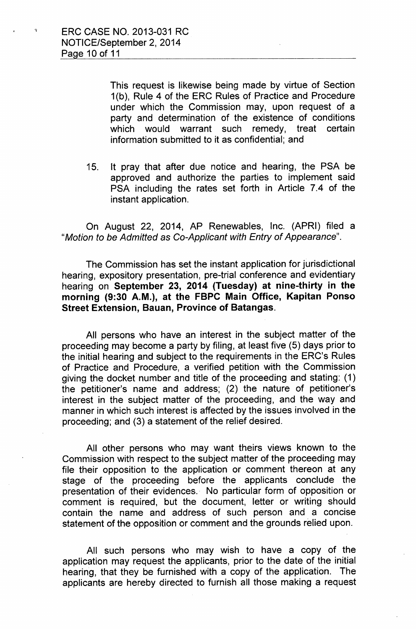This request is likewise being made by virtue of Section 1(b), Rule 4 of the ERC Rules of Practice and Procedure under which the Commission may, upon request of a party and determination of the existence of conditions which would warrant such remedy, treat certain information submitted to it as confidential; and

15. It pray that after due notice and hearing, the PSA be approved and authorize the parties to implement said PSA including the rates set forth in Article 7.4 of the instant application.

On August 22, 2014, AP Renewables, Inc. (APRI) filed a II*Motion to be Admitted* as *Co-Applicant with Entry* of *Appearance".*

The Commission has set the instant application for jurisdictional hearing, expository presentation, pre-trial conference and evidentiary hearing on September 23, 2014 (Tuesday) at nine-thirty in the morning (9:30 A.M.), at the FBPC Main Office, Kapitan Ponso Street Extension, Bauan, Province of Batangas.

All persons who have an interest in the subject matter of the proceeding may become a party by filing, at least five (5) days prior to the initial hearing and subject to the requirements in the ERC's Rules of Practice and Procedure, a verified petition with the Commission giving the docket number and title of the proceeding and stating: (1) the petitioner's name and address; (2) the nature of petitioner's interest in the subject matter of the proceeding, and the way and manner in which such interest is affected by the issues involved in the proceeding; and (3) a statement of the relief desired.

All other persons who may want theirs views known to the Commission with respect to the subject matter of the proceeding may file their opposition to the application or comment thereon at any stage of the proceeding before the applicants conclude the presentation of their evidences.. No particular form of opposition or comment is required, but the document, letter or writing should contain the name and address of such person and a concise statement of the opposition or comment and the grounds relied upon.

All such persons who may wish to have a copy of the application may request the applicants, prior to the date of the initial hearing, that they be furnished with a copy of the application. The applicants are hereby directed to furnish all those making a request